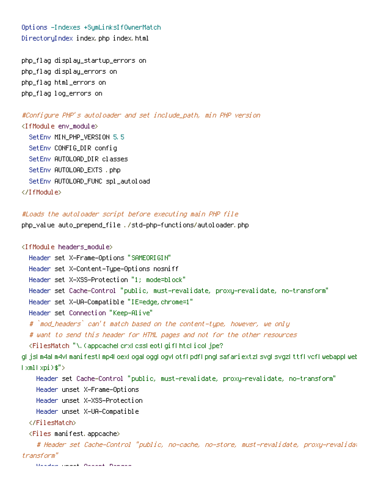Options -Indexes +SymLinksIfOwnerMatch DirectoryIndex index.php index.html

php\_flag display\_startup\_errors on php\_flag display\_errors on php\_flag html\_errors on php\_flag log\_errors on

#Configure PHP's autoloader and set include\_path, min PHP version <IfModule env\_module>

SetEnv MIN\_PHP\_VERSION 5.5 SetEnv CONFIG\_DIR config SetEnv AUTOLOAD\_DIR classes SetEnv AUTOLOAD\_EXTS .php SetEnv AUTOLOAD\_FUNC spl\_autoload </IfModule>

## #Loads the autoloader script before executing main PHP file

php\_value auto\_prepend\_file ./std-php-functions/autoloader.php

## <IfModule headers\_module>

Header set X-Frame-Options "SAMEORIGIN" Header set X-Content-Type-Options nosniff Header set X-XSS-Protection "1; mode=block" Header set Cache-Control "public, must-revalidate, proxy-revalidate, no-transform" Header set X-UA-Compatible "IE=edge,chrome=1" Header set Connection "Keep-Alive" # `mod\_headers` can't match based on the content-type, however, we only # want to send this header for HTML pages and not for the other resources <FilesMatch "\.(appcache|crx|css|eot|gif|htc|ico|jpe? g|js|m4a|m4v|manifest|mp4|oex|oga|ogg|ogv|otf|pdf|png|safariextz|svg|svgz|ttf|vcf|webapp|web  $|\times$ ml $|\times$ pi $\rangle$ \$"> Header set Cache-Control "public, must-revalidate, proxy-revalidate, no-transform"

Header unset X-Frame-Options Header unset X-XSS-Protection

Header unset X-UA-Compatible

## </FilesMatch>

<Files manifest.appcache>

# Header set Cache-Control "public, no-cache, no-store, must-revalidate, proxy-revalidat transform"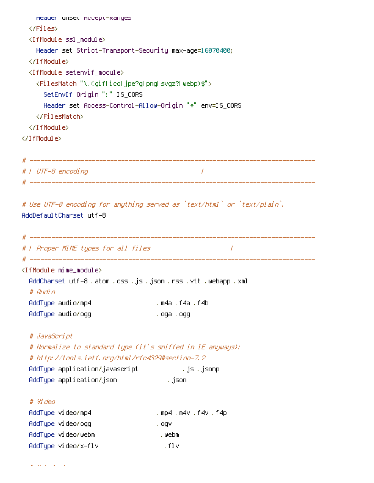```
Header unset Accept-Ranges
 </Files>
 <IfModule ssl_module>
   Header set Strict-Transport-Security max-age=16070400;
 </IfModule>
 <IfModule setenvif_module>
   <FilesMatch "\.(gif|ico|jpe?g|png|svgz?|webp)$">
     SetEnvIf Origin ":" IS_CORS
     Header set Access-Control-Allow-Origin "*" env=IS_CORS
   </FilesMatch>
 </IfModule>
</IfModule>
# ------------------------------------------------------------------------------
# | UTF-8 encoding |
# ------------------------------------------------------------------------------
# Use UTF-8 encoding for anything served as `text/html` or `text/plain`.
AddDefaultCharset utf-8
# ------------------------------------------------------------------------------
# | Proper MIME types for all files |
# ------------------------------------------------------------------------------
<IfModule mime_module>
 AddCharset utf-8 .atom .css .js .json .rss .vtt .webapp .xml
 # Audio
 AddType audio/mp4 .m4a .f4a .f4b
 AddType audio/ogg .oga .ogg
 # JavaScript
 # Normalize to standard type (it's sniffed in IE anyways):
 # http://tools.ietf.org/html/rfc4329#section-7.2
 AddType application/javascript .js .jsonp
 AddType application/json ... ... ... ... json
 # Video
 AddType video/mp4 .mp4 .mp4 .m4v .f4v .f4p
 AddType video/ogg .ogv
 AddType video/webm .webm .webm
 AddType video/x-flv .flv
```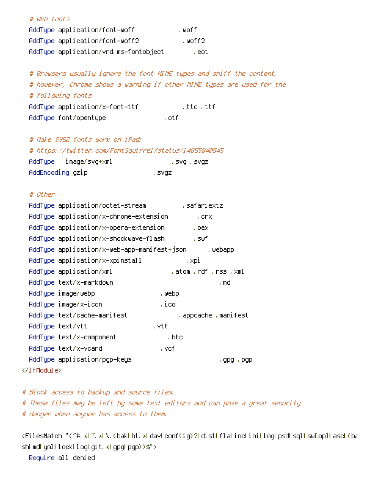| # Web fonts                           |         |
|---------------------------------------|---------|
| AddType application/font-woff         | . woff  |
| AddTupe application/font-woff2        | .woff2  |
| AddType application/vnd.ms-fontobject | , eot i |

# Browsers usually ignore the font MIME types and sniff the content, # however, Chrome shows <sup>a</sup> warning if other MIME types are used for the # following fonts. AddType application/x-font-ttf .ttc .ttf AddType font/opentype .otf

# Make SVGZ fonts work on iPad:

|                  |                       | # https://twitter.com/FontSquirrel/status/14855840545 |
|------------------|-----------------------|-------------------------------------------------------|
|                  | AddType image/svg+xml | , svq , svqz                                          |
| AddEncoding gzip |                       | , svgzi                                               |

## # Other

| AddType application/octet-stream            | , safariextz          |
|---------------------------------------------|-----------------------|
| AddType application/x-chrome-extension      | , crx                 |
| AddType application/x-opera-extension       | .0ex                  |
| AddType application/x-shockwave-flash       | , swf                 |
| AddType application/x–web–app–manifest+json | , webapp              |
| AddType application/x-xpinstall             | , xpi                 |
| AddType application/xml                     | .atom .rdf .rss .xml  |
| AddType text/x-markdown                     | . md                  |
| AddType image/webp                          | , webp                |
| AddType image/x−icon                        | ,ico                  |
| AddType text/cache-manifest                 | . appcache . manifest |
| AddType text/vtt                            | , vtt                 |
| AddTupe text/x-component                    | , htc                 |
| AddTupe text/x-vcard                        | , vef.                |
| AddType application/pgp–keys                | ,gpg,pgp              |
|                                             |                       |

# Block access to backup and source files. # These files may be left by some text editors and can pose <sup>a</sup> great security # danger when anyone has access to them.

<FilesMatch "(^#.\*|~.\*|\.(bak|ht.\*|dav|conf(ig)?|dist|fla|inc|ini|log|psd|sql|sw[op]|asc|(ba sh| md| yml|lock|log|git.\*|gpg|pgp))\$"> Require all denied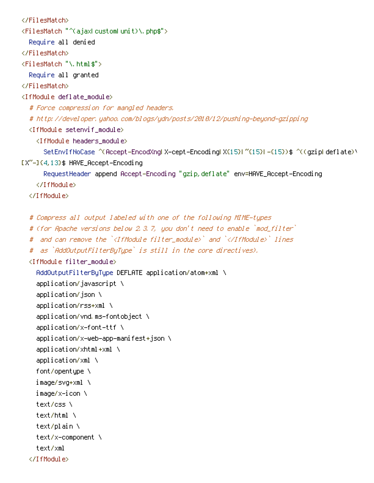</FilesMatch> <FilesMatch "^(ajax|custom|unit)\.php\$"> Require all denied </FilesMatch> <FilesMatch "\.html\$"> Require all granted </FilesMatch> <IfModule deflate\_module> # Force compression for mangled headers. # http://developer.yahoo.com/blogs/ydn/posts/2010/12/pushing-beyond-gzipping <IfModule setenvif\_module> <IfModule headers\_module> SetEnvIfNoCase ^(Accept-EncodXng|X-cept-Encoding|X{15}|~{15}|-{15})\$ ^((gzip|deflate)\ [X~-]{4,13}\$ HAVE\_Accept-Encoding RequestHeader append Accept-Encoding "gzip,deflate" env=HAVE\_Accept-Encoding </IfModule> </IfModule> # Compress all output labeled with one of the following MIME-types # (for Apache versions below 2.3.7, you don't need to enable `mod\_filter` # and can remove the `<IfModule filter module>` and `</IfModule>` lines # as `AddOutputFilterByType` is still in the core directives). <IfModule filter\_module> AddOutputFilterByType DEFLATE application/atom+xml \ application/javascript \ application/json \ application/rss+xml \ application/vnd.ms-fontobject \ application/x-font-ttf \ application/x-web-app-manifest+json \ application/xhtml+xml \ application/xml \ font/opentype \ image/svg+xml \ image/x-icon \ text/css \ text/html \ text/plain \ text/x-component \ text/xml </IfModule>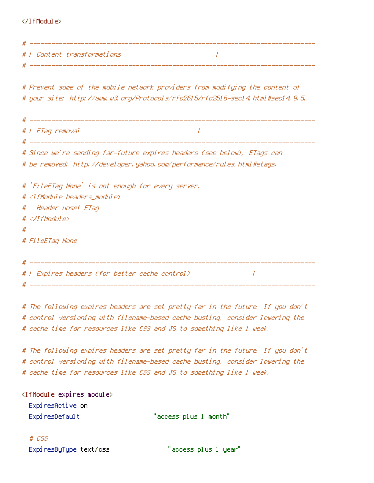</IfModule>

|   | #   Content transformations                                                    |
|---|--------------------------------------------------------------------------------|
|   |                                                                                |
|   |                                                                                |
|   | # Prevent some of the mobile network providers from modifying the content of   |
|   | # your site: http://www.w3.org/Protocols/rfc2616/rfc2616-sec14.html#sec14.9.5. |
|   |                                                                                |
|   |                                                                                |
|   | #   ETag removal<br>$\prime$                                                   |
|   |                                                                                |
|   | # Since we're sending far-future expires headers (see below), ETags can        |
|   | # be removed: http://developer.yahoo.com/performance/rules.html#etags.         |
|   |                                                                                |
|   | # `FileETag None` is not enough for every server.                              |
|   | # <ifmodule headers="" module=""></ifmodule>                                   |
|   | # Header unset ETag                                                            |
|   | $\#$                                                                           |
| # |                                                                                |
|   | # FileETag None                                                                |
|   |                                                                                |
|   |                                                                                |
|   | #   Expires headers (for better cache control)                                 |
|   |                                                                                |

# The following expires headers are set pretty far in the future. If you don't # control versioning with filename-based cache busting, consider lowering the # cache time for resources like CSS and JS to something like 1 week.

# The following expires headers are set pretty far in the future. If you don't # control versioning with filename-based cache busting, consider lowering the # cache time for resources like CSS and JS to something like 1 week.

<IfModule expires\_module>

ExpiresActive on

ExpiresDefault "access plus 1 month"

# CSS ExpiresByType text/css "access plus 1 year"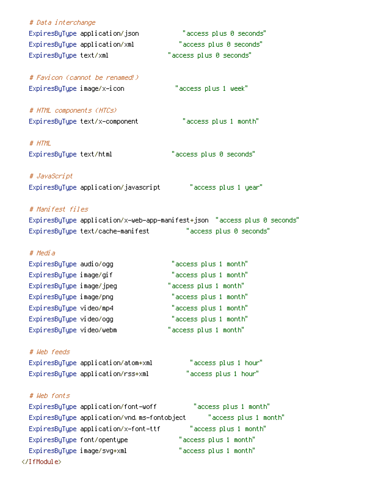| # Data interchange            |                                             |                                                                           |
|-------------------------------|---------------------------------------------|---------------------------------------------------------------------------|
|                               | ExpiresByType application/json              | "access plus 0 seconds"                                                   |
| ExpiresByType application/xml |                                             | "access plus 0 seconds"                                                   |
| ExpiresByType text/xml        |                                             | "access plus 0 seconds"                                                   |
|                               | # Favicon (cannot be renamed!)              |                                                                           |
| ExpiresByType image/x-icon    |                                             | "access plus 1 week"                                                      |
| # HTML components (HTCs)      |                                             |                                                                           |
|                               | ExpiresByType text/x-component              | "access plus 1 month"                                                     |
| # HTML                        |                                             |                                                                           |
| ExpiresByType text/html       |                                             | "access plus 0 seconds"                                                   |
|                               |                                             |                                                                           |
| # JavaScript                  |                                             |                                                                           |
|                               | ExpiresByType application/javascript        | "access plus 1 year"                                                      |
| # Manifest files              |                                             |                                                                           |
|                               |                                             | ExpiresByType application/x-web-app-manifest+json "access plus 0 seconds" |
|                               | ExpiresByType text/cache-manifest           | "access plus 0 seconds"                                                   |
| # Media                       |                                             |                                                                           |
| Expi resByType audio/ogg      |                                             | "access plus 1 month"                                                     |
| ExpiresByType image/gif       |                                             | "access plus 1 month"                                                     |
| ExpiresByType image/jpeg      |                                             | "access plus 1 month"                                                     |
| ExpiresByType image/png       |                                             | "access plus 1 month"                                                     |
| ExpiresByType video/mp4       |                                             | "access plus 1 month"                                                     |
| ExpiresByType video/ogg       |                                             | "access plus 1 month"                                                     |
| ExpiresByType video/webm      |                                             | "access plus 1 month"                                                     |
| # Web feeds                   |                                             |                                                                           |
|                               | ExpiresByType application/atom+xml          | "access plus 1 hour"                                                      |
|                               | ExpiresByType application/rss+xml           | "access plus 1 hour"                                                      |
|                               |                                             |                                                                           |
| # Web fonts                   |                                             |                                                                           |
|                               | ExpiresByType application/font-woff         | "access plus 1 month"                                                     |
|                               | ExpiresByType application/vnd.ms-fontobject | "access plus 1 month"                                                     |
|                               | ExpiresByType application/x-font-ttf        | "access plus 1 month"                                                     |
| ExpiresByType font/opentype   |                                             | "access plus 1 month"                                                     |
| ExpiresByType image/svg+xml   |                                             | "access plus 1 month"                                                     |
|                               |                                             |                                                                           |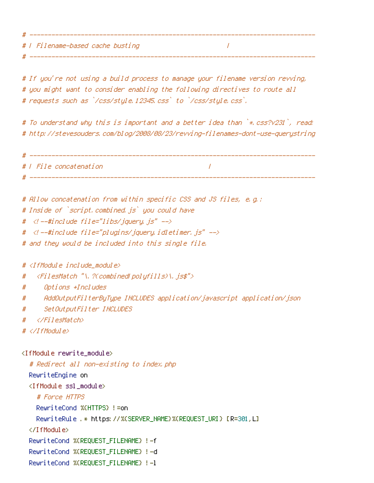# | Filename-based cache busting |

# If you're not using <sup>a</sup> build process to manage your filename version revving, # you might want to consider enabling the following directives to route all # requests such as `/css/style.12345.css` to `/css/style.css`.

# ------------------------------------------------------------------------------

# ------------------------------------------------------------------------------

# To understand why this is important and <sup>a</sup> better idea than `\*.css?v231`, read: # http://stevesouders.com/blog/2008/08/23/revving-filenames-dont-use-querystring

```
# ------------------------------------------------------------------------------
# | File concatenation |
# ------------------------------------------------------------------------------
```

```
# Allow concatenation from within specific CSS and JS files, e.g.:
# Inside of `script.combined.js` you could have
# <!--#include file="libs/jquery.js" -->
# <!--#include file="plugins/jquery.idletimer.js" -->
# and they would be included into this single file.
```
# <IfModule include\_module>

```
# <FilesMatch "\.?(combined|polyfills)\.js$">
```
- # Options +Includes
- # AddOutputFilterByType INCLUDES application/javascript application/json
- # SetOutputFilter INCLUDES
- # </FilesMatch>
- $# \triangle$ /IfModule>

<IfModule rewrite\_module> # Redirect all non-existing to index.php RewriteEngine on <IfModule ssl\_module> # Force HTTPS RewriteCond %{HTTPS} !=on RewriteRule .\* https://%{SERVER\_NAME}%{REQUEST\_URI} [R=301,L] </IfModule> RewriteCond %{REQUEST\_FILENAME} !-f RewriteCond %{REQUEST\_FILENAME} !-d RewriteCond %{REQUEST\_FILENAME} !-l